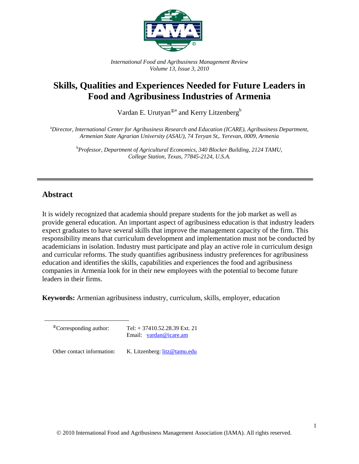

*International Food and Agribusiness Management Review Volume 13, Issue 3, 2010* 

# **Skills, Qualities and Experiences Needed for Future Leaders in Food and Agribusiness Industries of Armenia**

Vardan E. Urutyan<sup> $\Phi$ a</sup> and Kerry Litzenberg<sup>b</sup>

a *Director, International Center for Agribusiness Research and Education (ICARE), Agribusiness Department, Armenian State Agrarian University (ASAU), 74 Teryan St,. Yerevan, 0009, Armenia* 

> b *Professor, Department of Agricultural Economics, 340 Blocker Building, 2124 TAMU, College Station, Texas, 77845-2124, U.S.A.*

## **Abstract**

It is widely recognized that academia should prepare students for the job market as well as provide general education. An important aspect of agribusiness education is that industry leaders expect graduates to have several skills that improve the management capacity of the firm. This responsibility means that curriculum development and implementation must not be conducted by academicians in isolation. Industry must participate and play an active role in curriculum design and curricular reforms. The study quantifies agribusiness industry preferences for agribusiness education and identifies the skills, capabilities and experiences the food and agribusiness companies in Armenia look for in their new employees with the potential to become future leaders in their firms.

**Keywords:** Armenian agribusiness industry, curriculum, skills, employer, education

 ${}^{\circ}$ Corresponding author: Tel: + 37410.52.28.39 Ext. 21 Email: vardan@icare.am

Other contact information: K. Litzenberg: litz@tamu.edu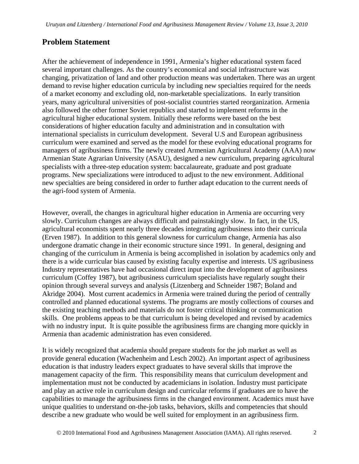## **Problem Statement**

After the achievement of independence in 1991, Armenia's higher educational system faced several important challenges. As the country's economical and social infrastructure was changing, privatization of land and other production means was undertaken. There was an urgent demand to revise higher education curricula by including new specialties required for the needs of a market economy and excluding old, non-marketable specializations. In early transition years, many agricultural universities of post-socialist countries started reorganization. Armenia also followed the other former Soviet republics and started to implement reforms in the agricultural higher educational system. Initially these reforms were based on the best considerations of higher education faculty and administration and in consultation with international specialists in curriculum development. Several U.S and European agribusiness curriculum were examined and served as the model for these evolving educational programs for managers of agribusiness firms. The newly created Armenian Agricultural Academy (AAA) now Armenian State Agrarian University (ASAU), designed a new curriculum, preparing agricultural specialists with a three-step education system: baccalaureate, graduate and post graduate programs. New specializations were introduced to adjust to the new environment. Additional new specialties are being considered in order to further adapt education to the current needs of the agri-food system of Armenia.

However, overall, the changes in agricultural higher education in Armenia are occurring very slowly. Curriculum changes are always difficult and painstakingly slow. In fact, in the US, agricultural economists spent nearly three decades integrating agribusiness into their curricula (Erven 1987). In addition to this general slowness for curriculum change, Armenia has also undergone dramatic change in their economic structure since 1991. In general, designing and changing of the curriculum in Armenia is being accomplished in isolation by academics only and there is a wide curricular bias caused by existing faculty expertise and interests. US agribusiness Industry representatives have had occasional direct input into the development of agribusiness curriculum (Coffey 1987), but agribusiness curriculum specialists have regularly sought their opinion through several surveys and analysis (Litzenberg and Schneider 1987; Boland and Akridge 2004). Most current academics in Armenia were trained during the period of centrally controlled and planned educational systems. The programs are mostly collections of courses and the existing teaching methods and materials do not foster critical thinking or communication skills. One problems appeas to be that curriculum is being developed and revised by academics with no industry input. It is quite possible the agribusiness firms are changing more quickly in Armenia than academic administration has even considered.

It is widely recognized that academia should prepare students for the job market as well as provide general education (Wachenheim and Lesch 2002). An important aspect of agribusiness education is that industry leaders expect graduates to have several skills that improve the management capacity of the firm. This responsibility means that curriculum development and implementation must not be conducted by academicians in isolation. Industry must participate and play an active role in curriculum design and curricular reforms if graduates are to have the capabilities to manage the agribusiness firms in the changed environment. Academics must have unique qualities to understand on-the-job tasks, behaviors, skills and competencies that should describe a new graduate who would be well suited for employment in an agribusiness firm.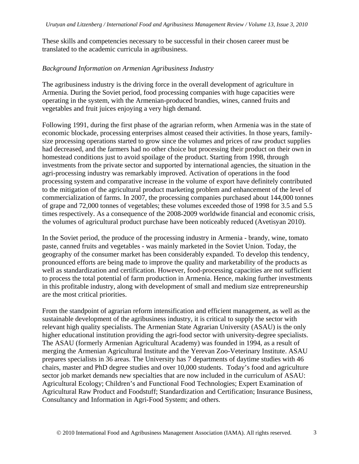These skills and competencies necessary to be successful in their chosen career must be translated to the academic curricula in agribusiness.

#### *Background Information on Armenian Agribusiness Industry*

The agribusiness industry is the driving force in the overall development of agriculture in Armenia. During the Soviet period, food processing companies with huge capacities were operating in the system, with the Armenian-produced brandies, wines, canned fruits and vegetables and fruit juices enjoying a very high demand.

Following 1991, during the first phase of the agrarian reform, when Armenia was in the state of economic blockade, processing enterprises almost ceased their activities. In those years, familysize processing operations started to grow since the volumes and prices of raw product supplies had decreased, and the farmers had no other choice but processing their product on their own in homestead conditions just to avoid spoilage of the product. Starting from 1998, through investments from the private sector and supported by international agencies, the situation in the agri-processing industry was remarkably improved. Activation of operations in the food processing system and comparative increase in the volume of export have definitely contributed to the mitigation of the agricultural product marketing problem and enhancement of the level of commercialization of farms. In 2007, the processing companies purchased about 144,000 tonnes of grape and 72,000 tonnes of vegetables; these volumes exceeded those of 1998 for 3.5 and 5.5 times respectively. As a consequence of the 2008-2009 worldwide financial and economic crisis, the volumes of agricultural product purchase have been noticeably reduced (Avetisyan 2010).

In the Soviet period, the produce of the processing industry in Armenia - brandy, wine, tomato paste, canned fruits and vegetables - was mainly marketed in the Soviet Union. Today, the geography of the consumer market has been considerably expanded. To develop this tendency, pronounced efforts are being made to improve the quality and marketability of the products as well as standardization and certification. However, food-processing capacities are not sufficient to process the total potential of farm production in Armenia. Hence, making further investments in this profitable industry, along with development of small and medium size entrepreneurship are the most critical priorities.

From the standpoint of agrarian reform intensification and efficient management, as well as the sustainable development of the agribusiness industry, it is critical to supply the sector with relevant high quality specialists. The Armenian State Agrarian University (ASAU) is the only higher educational institution providing the agri-food sector with university-degree specialists. The ASAU (formerly Armenian Agricultural Academy) was founded in 1994, as a result of merging the Armenian Agricultural Institute and the Yerevan Zoo-Veterinary Institute. ASAU prepares specialists in 36 areas. The University has 7 departments of daytime studies with 46 chairs, master and PhD degree studies and over 10,000 students. Today's food and agriculture sector job market demands new specialties that are now included in the curriculum of ASAU: Agricultural Ecology; Children's and Functional Food Technologies; Expert Examination of Agricultural Raw Product and Foodstuff; Standardization and Certification; Insurance Business, Consultancy and Information in Agri-Food System; and others.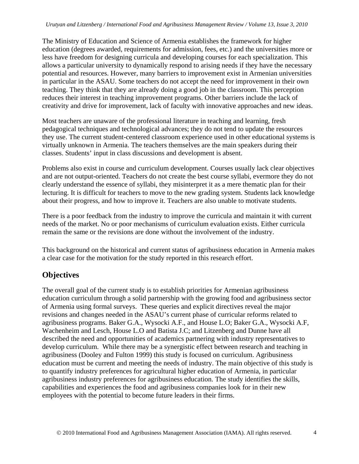The Ministry of Education and Science of Armenia establishes the framework for higher education (degrees awarded, requirements for admission, fees, etc.) and the universities more or less have freedom for designing curricula and developing courses for each specialization. This allows a particular university to dynamically respond to arising needs if they have the necessary potential and resources. However, many barriers to improvement exist in Armenian universities in particular in the ASAU. Some teachers do not accept the need for improvement in their own teaching. They think that they are already doing a good job in the classroom. This perception reduces their interest in teaching improvement programs. Other barriers include the lack of creativity and drive for improvement, lack of faculty with innovative approaches and new ideas.

Most teachers are unaware of the professional literature in teaching and learning, fresh pedagogical techniques and technological advances; they do not tend to update the resources they use. The current student-centered classroom experience used in other educational systems is virtually unknown in Armenia. The teachers themselves are the main speakers during their classes. Students' input in class discussions and development is absent.

Problems also exist in course and curriculum development. Courses usually lack clear objectives and are not output-oriented. Teachers do not create the best course syllabi, evermore they do not clearly understand the essence of syllabi, they misinterpret it as a mere thematic plan for their lecturing. It is difficult for teachers to move to the new grading system. Students lack knowledge about their progress, and how to improve it. Teachers are also unable to motivate students.

There is a poor feedback from the industry to improve the curricula and maintain it with current needs of the market. No or poor mechanisms of curriculum evaluation exists. Either curricula remain the same or the revisions are done without the involvement of the industry.

This background on the historical and current status of agribusiness education in Armenia makes a clear case for the motivation for the study reported in this research effort.

## **Objectives**

The overall goal of the current study is to establish priorities for Armenian agribusiness education curriculum through a solid partnership with the growing food and agribusiness sector of Armenia using formal surveys. These queries and explicit directives reveal the major revisions and changes needed in the ASAU's current phase of curricular reforms related to agribusiness programs. Baker G.A., Wysocki A.F., and House L.O; Baker G.A., Wysocki A.F, Wachenheim and Lesch, House L.O and Batista J.C; and Litzenberg and Dunne have all described the need and opportunities of academics partnering with industry representatives to develop curriculum. While there may be a synergistic effect between research and teaching in agribusiness (Dooley and Fulton 1999) this study is focused on curriculum. Agribusiness education must be current and meeting the needs of industry. The main objective of this study is to quantify industry preferences for agricultural higher education of Armenia, in particular agribusiness industry preferences for agribusiness education. The study identifies the skills, capabilities and experiences the food and agribusiness companies look for in their new employees with the potential to become future leaders in their firms.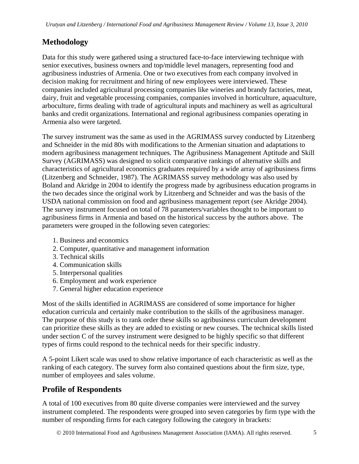## **Methodology**

Data for this study were gathered using a structured face-to-face interviewing technique with senior executives, business owners and top/middle level managers, representing food and agribusiness industries of Armenia. One or two executives from each company involved in decision making for recruitment and hiring of new employees were interviewed. These companies included agricultural processing companies like wineries and brandy factories, meat, dairy, fruit and vegetable processing companies, companies involved in horticulture, aquaculture, arboculture, firms dealing with trade of agricultural inputs and machinery as well as agricultural banks and credit organizations. International and regional agribusiness companies operating in Armenia also were targeted.

The survey instrument was the same as used in the AGRIMASS survey conducted by Litzenberg and Schneider in the mid 80s with modifications to the Armenian situation and adaptations to modern agribusiness management techniques. The Agribusiness Management Aptitude and Skill Survey (AGRIMASS) was designed to solicit comparative rankings of alternative skills and characteristics of agricultural economics graduates required by a wide array of agribusiness firms (Litzenberg and Schneider, 1987). The AGRIMASS survey methodology was also used by Boland and Akridge in 2004 to identify the progress made by agribusiness education programs in the two decades since the original work by Litzenberg and Schneider and was the basis of the USDA national commission on food and agribusiness management report (see Akridge 2004). The survey instrument focused on total of 78 parameters/variables thought to be important to agribusiness firms in Armenia and based on the historical success by the authors above. The parameters were grouped in the following seven categories:

- 1. Business and economics
- 2. Computer, quantitative and management information
- 3. Technical skills
- 4. Communication skills
- 5. Interpersonal qualities
- 6. Employment and work experience
- 7. General higher education experience

Most of the skills identified in AGRIMASS are considered of some importance for higher education curricula and certainly make contribution to the skills of the agribusiness manager. The purpose of this study is to rank order these skills so agribusiness curriculum development can prioritize these skills as they are added to existing or new courses. The technical skills listed under section C of the survey instrument were designed to be highly specific so that different types of firms could respond to the technical needs for their specific industry.

A 5-point Likert scale was used to show relative importance of each characteristic as well as the ranking of each category. The survey form also contained questions about the firm size, type, number of employees and sales volume.

## **Profile of Respondents**

A total of 100 executives from 80 quite diverse companies were interviewed and the survey instrument completed. The respondents were grouped into seven categories by firm type with the number of responding firms for each category following the category in brackets: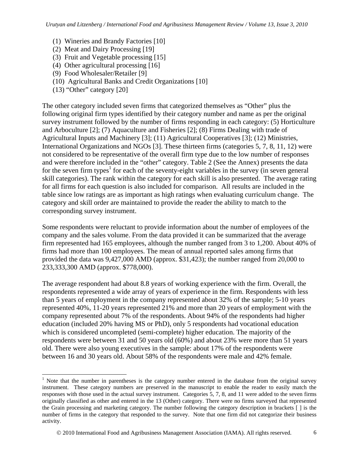- (1) Wineries and Brandy Factories [10]
- (2) Meat and Dairy Processing [19]
- (3) Fruit and Vegetable processing [15]
- (4) Other agricultural processing [16]
- (9) Food Wholesaler/Retailer [9]
- (10) Agricultural Banks and Credit Organizations [10]
- (13) "Other" category [20]

 $\overline{a}$ 

The other category included seven firms that categorized themselves as "Other" plus the following original firm types identified by their category number and name as per the original survey instrument followed by the number of firms responding in each category: (5) Horticulture and Arboculture [2]; (7) Aquaculture and Fisheries [2]; (8) Firms Dealing with trade of Agricultural Inputs and Machinery [3]; (11) Agricultural Cooperatives [3]; (12) Ministries, International Organizations and NGOs [3]. These thirteen firms (categories 5, 7, 8, 11, 12) were not considered to be representative of the overall firm type due to the low number of responses and were therefore included in the "other" category. Table 2 (See the Annex) presents the data for the seven firm types<sup>1</sup> for each of the seventy-eight variables in the survey (in seven general skill categories). The rank within the category for each skill is also presented. The average rating for all firms for each question is also included for comparison. All results are included in the table since low ratings are as important as high ratings when evaluating curriculum change. The category and skill order are maintained to provide the reader the ability to match to the corresponding survey instrument.

Some respondents were reluctant to provide information about the number of employees of the company and the sales volume. From the data provided it can be summarized that the average firm represented had 165 employees, although the number ranged from 3 to 1,200. About 40% of firms had more than 100 employees. The mean of annual reported sales among firms that provided the data was 9,427,000 AMD (approx. \$31,423); the number ranged from 20,000 to 233,333,300 AMD (approx. \$778,000).

The average respondent had about 8.8 years of working experience with the firm. Overall, the respondents represented a wide array of years of experience in the firm. Respondents with less than 5 years of employment in the company represented about 32% of the sample; 5-10 years represented 40%, 11-20 years represented 21% and more than 20 years of employment with the company represented about 7% of the respondents. About 94% of the respondents had higher education (included 20% having MS or PhD), only 5 respondents had vocational education which is considered uncompleted (semi-complete) higher education. The majority of the respondents were between 31 and 50 years old (60%) and about 23% were more than 51 years old. There were also young executives in the sample: about 17% of the respondents were between 16 and 30 years old. About 58% of the respondents were male and 42% female.

<sup>&</sup>lt;sup>1</sup> Note that the number in parentheses is the category number entered in the database from the original survey instrument. These category numbers are preserved in the manuscript to enable the reader to easily match the responses with those used in the actual survey instrument. Categories 5, 7, 8, and 11 were added to the seven firms originally classified as other and entered in the 13 (Other) category. There were no firms surveyed that represented the Grain processing and marketing category. The number following the category description in brackets [ ] is the number of firms in the category that responded to the survey. Note that one firm did not categorize their business activity.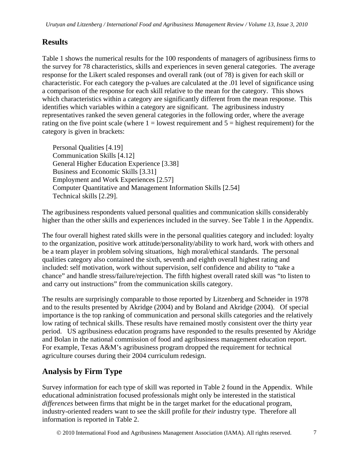## **Results**

Table 1 shows the numerical results for the 100 respondents of managers of agribusiness firms to the survey for 78 characteristics, skills and experiences in seven general categories. The average response for the Likert scaled responses and overall rank (out of 78) is given for each skill or characteristic. For each category the p-values are calculated at the .01 level of significance using a comparison of the response for each skill relative to the mean for the category. This shows which characteristics within a category are significantly different from the mean response. This identifies which variables within a category are significant. The agribusiness industry representatives ranked the seven general categories in the following order, where the average rating on the five point scale (where  $1 =$  lowest requirement and  $5 =$  highest requirement) for the category is given in brackets:

Personal Qualities [4.19] Communication Skills [4.12] General Higher Education Experience [3.38] Business and Economic Skills [3.31] Employment and Work Experiences [2.57] Computer Quantitative and Management Information Skills [2.54] Technical skills [2.29].

The agribusiness respondents valued personal qualities and communication skills considerably higher than the other skills and experiences included in the survey. See Table 1 in the Appendix.

The four overall highest rated skills were in the personal qualities category and included: loyalty to the organization, positive work attitude/personality/ability to work hard, work with others and be a team player in problem solving situations, high moral/ethical standards. The personal qualities category also contained the sixth, seventh and eighth overall highest rating and included: self motivation, work without supervision, self confidence and ability to "take a chance" and handle stress/failure/rejection. The fifth highest overall rated skill was "to listen to and carry out instructions" from the communication skills category.

The results are surprisingly comparable to those reported by Litzenberg and Schneider in 1978 and to the results presented by Akridge (2004) and by Boland and Akridge (2004). Of special importance is the top ranking of communication and personal skills categories and the relatively low rating of technical skills. These results have remained mostly consistent over the thirty year period. US agribusiness education programs have responded to the results presented by Akridge and Bolan in the national commission of food and agribusiness management education report. For example, Texas A&M's agribusiness program dropped the requirement for technical agriculture courses during their 2004 curriculum redesign.

## **Analysis by Firm Type**

Survey information for each type of skill was reported in Table 2 found in the Appendix. While educational administration focused professionals might only be interested in the statistical *differences* between firms that might be in the target market for the educational program, industry-oriented readers want to see the skill profile for *their* industry type. Therefore all information is reported in Table 2.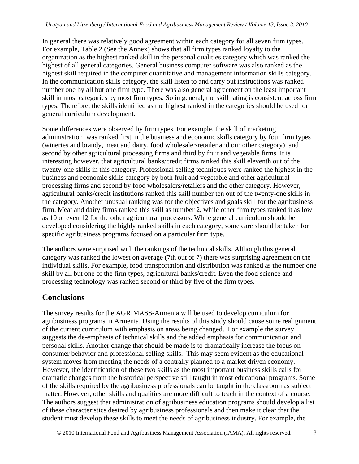In general there was relatively good agreement within each category for all seven firm types. For example, Table 2 (See the Annex) shows that all firm types ranked loyalty to the organization as the highest ranked skill in the personal qualities category which was ranked the highest of all general categories. General business computer software was also ranked as the highest skill required in the computer quantitative and management information skills category. In the communication skills category, the skill listen to and carry out instructions was ranked number one by all but one firm type. There was also general agreement on the least important skill in most categories by most firm types. So in general, the skill rating is consistent across firm types. Therefore, the skills identified as the highest ranked in the categories should be used for general curriculum development.

Some differences were observed by firm types. For example, the skill of marketing administration was ranked first in the business and economic skills category by four firm types (wineries and brandy, meat and dairy, food wholesaler/retailer and our other category) and second by other agricultural processing firms and third by fruit and vegetable firms. It is interesting however, that agricultural banks/credit firms ranked this skill eleventh out of the twenty-one skills in this category. Professional selling techniques were ranked the highest in the business and economic skills category by both fruit and vegetable and other agricultural processing firms and second by food wholesalers/retailers and the other category. However, agricultural banks/credit institutions ranked this skill number ten out of the twenty-one skills in the category. Another unusual ranking was for the objectives and goals skill for the agribusiness firm. Meat and dairy firms ranked this skill as number 2, while other firm types ranked it as low as 10 or even 12 for the other agricultural processors. While general curriculum should be developed considering the highly ranked skills in each category, some care should be taken for specific agribusiness programs focused on a particular firm type.

The authors were surprised with the rankings of the technical skills. Although this general category was ranked the lowest on average (7th out of 7) there was surprising agreement on the individual skills. For example, food transportation and distribution was ranked as the number one skill by all but one of the firm types, agricultural banks/credit. Even the food science and processing technology was ranked second or third by five of the firm types.

## **Conclusions**

The survey results for the AGRIMASS-Armenia will be used to develop curriculum for agribusiness programs in Armenia. Using the results of this study should cause some realignment of the current curriculum with emphasis on areas being changed. For example the survey suggests the de-emphasis of technical skills and the added emphasis for communication and personal skills. Another change that should be made is to dramatically increase the focus on consumer behavior and professional selling skills. This may seem evident as the educational system moves from meeting the needs of a centrally planned to a market driven economy. However, the identification of these two skills as the most important business skills calls for dramatic changes from the historical perspective still taught in most educational programs. Some of the skills required by the agribusiness professionals can be taught in the classroom as subject matter. However, other skills and qualities are more difficult to teach in the context of a course. The authors suggest that administration of agribusiness education programs should develop a list of these characteristics desired by agribusiness professionals and then make it clear that the student must develop these skills to meet the needs of agribusiness industry. For example, the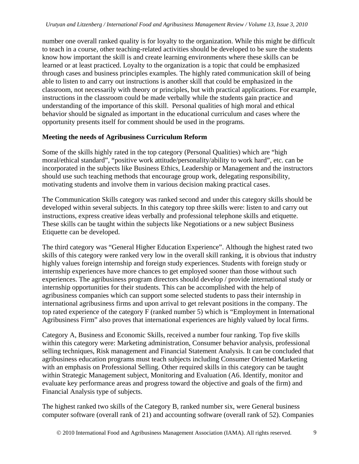number one overall ranked quality is for loyalty to the organization. While this might be difficult to teach in a course, other teaching-related activities should be developed to be sure the students know how important the skill is and create learning environments where these skills can be learned or at least practiced. Loyalty to the organization is a topic that could be emphasized through cases and business principles examples. The highly rated communication skill of being able to listen to and carry out instructions is another skill that could be emphasized in the classroom, not necessarily with theory or principles, but with practical applications. For example, instructions in the classroom could be made verbally while the students gain practice and understanding of the importance of this skill. Personal qualities of high moral and ethical behavior should be signaled as important in the educational curriculum and cases where the opportunity presents itself for comment should be used in the programs.

#### **Meeting the needs of Agribusiness Curriculum Reform**

Some of the skills highly rated in the top category (Personal Qualities) which are "high moral/ethical standard", "positive work attitude/personality/ability to work hard", etc. can be incorporated in the subjects like Business Ethics, Leadership or Management and the instructors should use such teaching methods that encourage group work, delegating responsibility, motivating students and involve them in various decision making practical cases.

The Communication Skills category was ranked second and under this category skills should be developed within several subjects. In this category top three skills were: listen to and carry out instructions, express creative ideas verbally and professional telephone skills and etiquette. These skills can be taught within the subjects like Negotiations or a new subject Business Etiquette can be developed.

The third category was "General Higher Education Experience". Although the highest rated two skills of this category were ranked very low in the overall skill ranking, it is obvious that industry highly values foreign internship and foreign study experiences. Students with foreign study or internship experiences have more chances to get employed sooner than those without such experiences. The agribusiness program directors should develop / provide international study or internship opportunities for their students. This can be accomplished with the help of agribusiness companies which can support some selected students to pass their internship in international agribusiness firms and upon arrival to get relevant positions in the company. The top rated experience of the category F (ranked number 5) which is "Employment in International Agribusiness Firm" also proves that international experiences are highly valued by local firms.

Category A, Business and Economic Skills, received a number four ranking. Top five skills within this category were: Marketing administration, Consumer behavior analysis, professional selling techniques, Risk management and Financial Statement Analysis. It can be concluded that agribusiness education programs must teach subjects including Consumer Oriented Marketing with an emphasis on Professional Selling. Other required skills in this category can be taught within Strategic Management subject, Monitoring and Evaluation (A6. Identify, monitor and evaluate key performance areas and progress toward the objective and goals of the firm) and Financial Analysis type of subjects.

The highest ranked two skills of the Category B, ranked number six, were General business computer software (overall rank of 21) and accounting software (overall rank of 52). Companies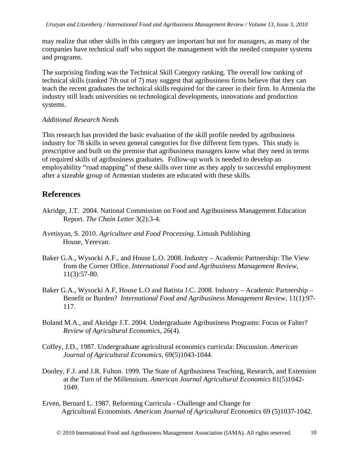may realize that other skills in this category are important but not for managers, as many of the companies have technical staff who support the management with the needed computer systems and programs.

The surprising finding was the Technical Skill Category ranking. The overall low ranking of technical skills (ranked 7th out of 7) may suggest that agribusiness firms believe that they can teach the recent graduates the technical skills required for the career in their firm. In Armenia the industry still leads universities on technological developments, innovations and production systems.

#### *Additional Research Needs*

This research has provided the basic evaluation of the skill profile needed by agribusiness industry for 78 skills in seven general categories for five different firm types. This study is prescriptive and built on the premise that agribusiness managers know what they need in terms of required skills of agribusiness graduates. Follow-up work is needed to develop an employability "road mapping" of these skills over time as they apply to successful employment after a sizeable group of Armenian students are educated with these skills.

### **References**

- Akridge, J.T. 2004. National Commission on Food and Agribusiness Management Education Report. *The Chain Letter* 3(2):3-4.
- Avetisyan, S. 2010. *Agriculture and Food Processing*. Limush Publishing House, Yerevan.
- Baker G.A., Wysocki A.F., and House L.O. 2008. Industry Academic Partnership: The View from the Corner Office. *International Food and Agribusiness Management Review,*  11(3):57-80.
- Baker G.A., Wysocki A.F, House L.O and Batista J.C. 2008. Industry Academic Partnership Benefit or Burden? *International Food and Agribusiness Management Review,* 11(1):97- 117.
- Boland M.A., and Akridge J.T. 2004. Undergraduate Agribusiness Programs: Focus or Falter? *Review of Agricultural Economics,* 26(4).
- Coffey, J.D., 1987. Undergraduate agricultural economics curricula: Discussion. *American Journal of Agricultural Economics,* 69(5)1043-1044.
- Dooley, F.J. and J.R. Fulton. 1999. The State of Agribusiness Teaching, Research, and Extension at the Turn of the Millennium. *American Journal Agricultural Economics* 81(5)1042- 1049.
- Erven, Bernard L. 1987. Reforming Curricula Challenge and Change for Agricultural Economists. *American Journal of Agricultural Economics* 69 (5)1037-1042.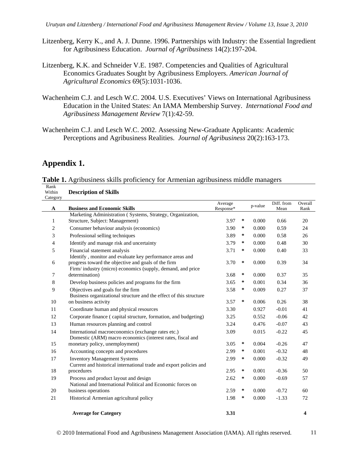- Litzenberg, Kerry K., and A. J. Dunne. 1996. Partnerships with Industry: the Essential Ingredient for Agribusiness Education. *Journal of Agribusiness* 14(2):197-204.
- Litzenberg, K.K. and Schneider V.E. 1987. Competencies and Qualities of Agricultural Economics Graduates Sought by Agribusiness Employers. *American Journal of Agricultural Economics* 69(5):1031-1036.
- Wachenheim C.J. and Lesch W.C. 2004. U.S. Executives' Views on International Agribusiness Education in the United States: An IAMA Membership Survey. *International Food and Agribusiness Management Review* 7(1):42-59.
- Wachenheim C.J. and Lesch W.C. 2002. Assessing New-Graduate Applicants: Academic Perceptions and Agribusiness Realities. *Journal of Agribusiness* 20(2):163-173.

### **Appendix 1.**

**Table 1.** Agribusiness skills proficiency for Armenian agribusiness middle managers Rank

| Within<br>Category | <b>Description of Skills</b>                                                                                                                                                   |                      |   |         |                    |                 |
|--------------------|--------------------------------------------------------------------------------------------------------------------------------------------------------------------------------|----------------------|---|---------|--------------------|-----------------|
| A                  | <b>Business and Economic Skills</b>                                                                                                                                            | Average<br>Response* |   | p-value | Diff. from<br>Mean | Overall<br>Rank |
|                    | Marketing Administration (Systems, Strategy, Organization,                                                                                                                     |                      |   |         |                    |                 |
| 1                  | Structure, Subject: Management)                                                                                                                                                | 3.97                 | ∗ | 0.000   | 0.66               | 20              |
| 2                  | Consumer behaviour analysis (economics)                                                                                                                                        | 3.90                 | ∗ | 0.000   | 0.59               | 24              |
| 3                  | Professional selling techniques                                                                                                                                                | 3.89                 | ∗ | 0.000   | 0.58               | 26              |
| 4                  | Identify and manage risk and uncertainty                                                                                                                                       | 3.79                 | ∗ | 0.000   | 0.48               | 30              |
| 5                  | Financial statement analysis                                                                                                                                                   | 3.71                 | ∗ | 0.000   | 0.40               | 33              |
| 6                  | Identify, monitor and evaluate key performance areas and<br>progress toward the objective and goals of the firm<br>Firm/ industry (micro) economics (supply, demand, and price | 3.70                 | ∗ | 0.000   | 0.39               | 34              |
| 7                  | determination)                                                                                                                                                                 | 3.68                 | ∗ | 0.000   | 0.37               | 35              |
| 8                  | Develop business policies and programs for the firm                                                                                                                            | 3.65                 | ∗ | 0.001   | 0.34               | 36              |
| 9                  | Objectives and goals for the firm<br>Business organizational structure and the effect of this structure                                                                        | 3.58                 | ∗ | 0.009   | 0.27               | 37              |
| 10                 | on business activity                                                                                                                                                           | 3.57                 | ∗ | 0.006   | 0.26               | 38              |
| 11                 | Coordinate human and physical resources                                                                                                                                        | 3.30                 |   | 0.927   | $-0.01$            | 41              |
| 12                 | Corporate finance (capital structure, formation, and budgeting)                                                                                                                | 3.25                 |   | 0.552   | $-0.06$            | 42              |
| 13                 | Human resources planning and control                                                                                                                                           | 3.24                 |   | 0.476   | $-0.07$            | 43              |
| 14                 | International macroeconomics (exchange rates etc.)<br>Domestic (ARM) macro economics (interest rates, fiscal and                                                               | 3.09                 |   | 0.015   | $-0.22$            | 45              |
| 15                 | monetary policy, unemployment)                                                                                                                                                 | 3.05                 | ∗ | 0.004   | $-0.26$            | 47              |
| 16                 | Accounting concepts and procedures                                                                                                                                             | 2.99                 | ∗ | 0.001   | $-0.32$            | 48              |
| 17                 | <b>Inventory Management Systems</b><br>Current and historical international trade and export policies and                                                                      | 2.99                 | ∗ | 0.000   | $-0.32$            | 49              |
| 18                 | procedures                                                                                                                                                                     | 2.95                 | ∗ | 0.001   | $-0.36$            | 50              |
| 19                 | Process and product layout and design<br>National and International Political and Economic forces on                                                                           | 2.62                 | ∗ | 0.000   | $-0.69$            | 57              |
| 20                 | business operations                                                                                                                                                            | 2.59                 | ∗ | 0.000   | $-0.72$            | 60              |
| 21                 | Historical Armenian agricultural policy                                                                                                                                        | 1.98                 | ∗ | 0.000   | $-1.33$            | 72              |
|                    | <b>Average for Category</b>                                                                                                                                                    | 3.31                 |   |         |                    | 4               |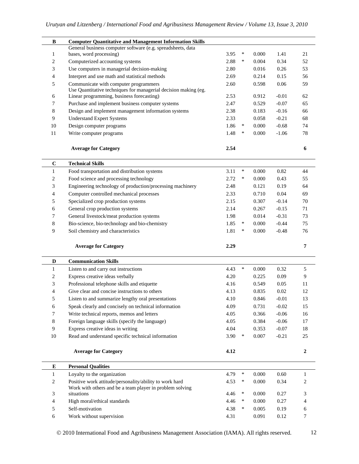| B              | <b>Computer Quantitative and Management Information Skills</b>                                                      |      |        |           |          |                  |
|----------------|---------------------------------------------------------------------------------------------------------------------|------|--------|-----------|----------|------------------|
| 1              | General business computer software (e.g. spreadsheets, data<br>bases, word processing)                              | 3.95 | ∗      | 0.000     | 1.41     | 21               |
| 2              | Computerized accounting systems                                                                                     | 2.88 | $\ast$ | 0.004     | 0.34     | 52               |
| 3              | Use computers in managerial decision-making                                                                         | 2.80 |        | 0.016     | 0.26     | 53               |
|                |                                                                                                                     |      |        | 0.214     |          |                  |
| 4              | Interpret and use math and statistical methods                                                                      | 2.69 |        |           | 0.15     | 56               |
| 5              | Communicate with computer programmers<br>Use Quantitative techniques for managerial decision making (eg.            | 2.60 |        | 0.598     | 0.06     | 59               |
| 6              | Linear programming, business forecasting)                                                                           | 2.53 |        | 0.912     | $-0.01$  | 62               |
| 7              | Purchase and implement business computer systems                                                                    | 2.47 |        | 0.529     | $-0.07$  | 65               |
| 8              | Design and implement management information systems                                                                 | 2.38 |        | 0.183     | $-0.16$  | 66               |
| 9              | <b>Understand Expert Systems</b>                                                                                    | 2.33 |        | 0.058     | $-0.21$  | 68               |
| 10             | Design computer programs                                                                                            | 1.86 | $\ast$ | 0.000     | $-0.68$  | 74               |
| 11             | Write computer programs                                                                                             | 1.48 | $\ast$ | 0.000     | $-1.06$  | 78               |
|                |                                                                                                                     |      |        |           |          |                  |
|                |                                                                                                                     |      |        |           |          |                  |
|                | <b>Average for Category</b>                                                                                         | 2.54 |        |           |          | 6                |
|                |                                                                                                                     |      |        |           |          |                  |
| $\bf C$        | <b>Technical Skills</b>                                                                                             |      |        |           |          |                  |
| $\mathbf{1}$   | Food transportation and distribution systems                                                                        | 3.11 | $\ast$ | 0.000     | 0.82     | 44               |
| $\overline{2}$ | Food science and processing technology                                                                              | 2.72 | $\ast$ | 0.000     | 0.43     | 55               |
| 3              | Engineering technology of production/processing machinery                                                           | 2.48 |        | 0.121     | 0.19     | 64               |
| 4              | Computer controlled mechanical processes                                                                            | 2.33 |        | 0.710     | $0.04\,$ | 69               |
| 5              | Specialized crop production systems                                                                                 | 2.15 |        | 0.307     | $-0.14$  | 70               |
| 6              | General crop production systems                                                                                     | 2.14 |        | 0.267     | $-0.15$  | 71               |
| 7              | General livestock/meat production systems                                                                           | 1.98 |        | 0.014     | $-0.31$  | 73               |
| 8              | Bio-science, bio-technology and bio-chemistry                                                                       | 1.85 | $\ast$ | 0.000     | $-0.44$  | 75               |
| 9              | Soil chemistry and characteristics                                                                                  | 1.81 | $\ast$ | 0.000     | $-0.48$  | 76               |
|                |                                                                                                                     |      |        |           |          |                  |
|                | <b>Average for Category</b>                                                                                         | 2.29 |        |           |          | $\overline{7}$   |
|                |                                                                                                                     |      |        |           |          |                  |
| D              | <b>Communication Skills</b>                                                                                         |      |        |           |          |                  |
| $\mathbf{1}$   | Listen to and carry out instructions                                                                                | 4.43 | $\ast$ | 0.000     | 0.32     | 5                |
| 2              | Express creative ideas verbally                                                                                     | 4.20 |        | 0.225     | 0.09     | 9                |
| 3              | Professional telephone skills and etiquette                                                                         | 4.16 |        | 0.549     | 0.05     | 11               |
| 4              | Give clear and concise instructions to others                                                                       | 4.13 |        | 0.835     | 0.02     | 12               |
| C              | Listen to and summarize lengthy oral presentations                                                                  | 4.10 |        | $0.846\,$ | $-0.01$  | 13               |
| 6              | Speak clearly and concisely on technical information                                                                | 4.09 |        | 0.731     | $-0.02$  | 15               |
| $\tau$         | Write technical reports, memos and letters                                                                          | 4.05 |        | 0.366     | $-0.06$  | 16               |
| $\,8\,$        | Foreign language skills (specify the language)                                                                      | 4.05 |        | 0.384     | $-0.06$  | 17               |
| 9              | Express creative ideas in writing                                                                                   | 4.04 |        | 0.353     | $-0.07$  | 18               |
| 10             | Read and understand specific technical information                                                                  | 3.90 | $\ast$ | 0.007     | $-0.21$  | 25               |
|                |                                                                                                                     |      |        |           |          |                  |
|                | <b>Average for Category</b>                                                                                         | 4.12 |        |           |          | $\boldsymbol{2}$ |
|                |                                                                                                                     |      |        |           |          |                  |
|                |                                                                                                                     |      |        |           |          |                  |
| Е              | <b>Personal Qualities</b>                                                                                           |      | $\ast$ |           |          |                  |
| $\mathbf{1}$   | Loyalty to the organization                                                                                         | 4.79 |        | 0.000     | 0.60     | 1                |
| $\mathbf{2}$   | Positive work attitude/personality/ability to work hard<br>Work with others and be a team player in problem solving | 4.53 | $\ast$ | 0.000     | 0.34     | 2                |
| 3              | situations                                                                                                          | 4.46 | $\ast$ | 0.000     | 0.27     | 3                |
| $\overline{4}$ | High moral/ethical standards                                                                                        | 4.46 | $\ast$ | 0.000     | 0.27     | 4                |
| 5              | Self-motivation                                                                                                     | 4.38 | $\ast$ | 0.005     | 0.19     | 6                |
| 6              | Work without supervision                                                                                            | 4.31 |        | 0.091     | 0.12     | 7                |
|                |                                                                                                                     |      |        |           |          |                  |

© 2010 International Food and Agribusiness Management Association (IAMA). All rights reserved. 12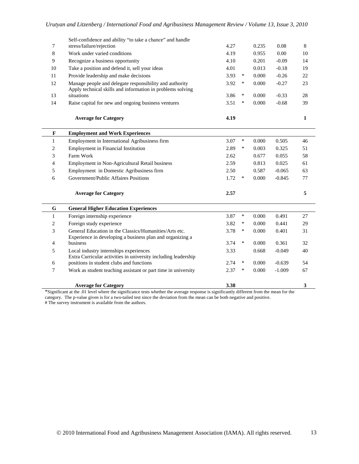| 7            | Self-confidence and ability "to take a chance" and handle<br>stress/failure/rejection                               | 4.27 | 0.235           | 0.08     | 8  |
|--------------|---------------------------------------------------------------------------------------------------------------------|------|-----------------|----------|----|
| 8            | Work under varied conditions                                                                                        | 4.19 | 0.955           | 0.00     | 10 |
| 9            | Recognize a business opportunity                                                                                    | 4.10 | 0.201           | $-0.09$  | 14 |
| 10           | Take a position and defend it, sell your ideas                                                                      | 4.01 | 0.013           | $-0.18$  | 19 |
| 11           | Provide leadership and make decisions                                                                               | 3.93 | $\ast$<br>0.000 | $-0.26$  | 22 |
| 12           | Manage people and delegate responsibility and authority                                                             | 3.92 | $\ast$<br>0.000 | $-0.27$  | 23 |
| 13           | Apply technical skills and information in problems solving<br>situations                                            | 3.86 | $\ast$<br>0.000 | $-0.33$  | 28 |
| 14           | Raise capital for new and ongoing business ventures                                                                 | 3.51 | $\ast$<br>0.000 | $-0.68$  | 39 |
|              | <b>Average for Category</b>                                                                                         | 4.19 |                 |          | 1  |
| $\mathbf{F}$ | <b>Employment and Work Experiences</b>                                                                              |      |                 |          |    |
| $\mathbf{1}$ | Employment in International Agribusiness firm                                                                       | 3.07 | $\ast$<br>0.000 | 0.505    | 46 |
| 2            | Employment in Financial Institution                                                                                 | 2.89 | $\ast$<br>0.003 | 0.325    | 51 |
| 3            | Farm Work                                                                                                           | 2.62 | 0.677           | 0.055    | 58 |
| 4            | Employment in Non-Agricultural Retail business                                                                      | 2.59 | 0.813           | 0.025    | 61 |
| 5            | Employment in Domestic Agribusiness firm                                                                            | 2.50 | 0.587           | $-0.065$ | 63 |
| 6            | Government/Public Affaires Positions                                                                                | 1.72 | $\ast$<br>0.000 | $-0.845$ | 77 |
|              | <b>Average for Category</b>                                                                                         | 2.57 |                 |          | 5  |
| $\mathbf G$  | <b>General Higher Education Experiences</b>                                                                         |      |                 |          |    |
| $\mathbf{1}$ | Foreign internship experience                                                                                       | 3.87 | $\ast$<br>0.000 | 0.491    | 27 |
| 2            | Foreign study experience                                                                                            | 3.82 | ∗<br>0.000      | 0.441    | 29 |
| 3            | General Education in the Classics/Humanities/Arts etc.<br>Experience in developing a business plan and organizing a | 3.78 | $\ast$<br>0.000 | 0.401    | 31 |
| 4            | business                                                                                                            | 3.74 | $\ast$<br>0.000 | 0.361    | 32 |
| 5            | Local industry internships experiences<br>Extra Curricular activities in university including leadership            | 3.33 | 0.668           | $-0.049$ | 40 |
| 6            | positions in student clubs and functions                                                                            | 2.74 | ∗<br>0.000      | $-0.639$ | 54 |
| 7            | Work as student teaching assistant or part time in university                                                       | 2.37 | $\ast$<br>0.000 | $-1.009$ | 67 |
|              | <b>Average for Category</b>                                                                                         | 3.38 |                 |          | 3  |

\*Significant at the .01 level where the significance tests whether the average response is significantly different from the mean for the category. The p-value given is for a two-tailed test since the deviation from the mean can be both negative and positive. # The survey instrument is available from the authors.

© 2010 International Food and Agribusiness Management Association (IAMA). All rights reserved. 13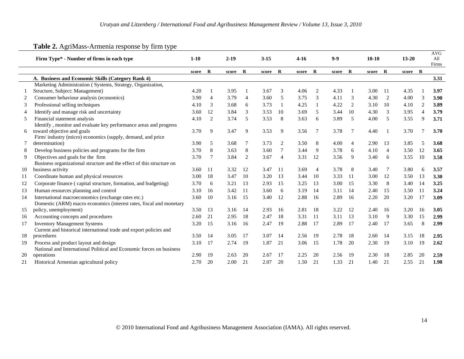|    |                                                                       |        |                |          |                |          |                |        |                |       |         |         |                |           |                | <b>AVG</b>   |
|----|-----------------------------------------------------------------------|--------|----------------|----------|----------------|----------|----------------|--------|----------------|-------|---------|---------|----------------|-----------|----------------|--------------|
|    | Firm Type* - Number of firms in each type                             | $1-10$ |                | $2 - 19$ |                | $3 - 15$ |                | $4-16$ |                | $9-9$ |         | $10-10$ |                | $13 - 20$ |                | All<br>Firms |
|    |                                                                       | score  | $\mathbf R$    | score    | $\mathbf R$    | score R  |                | score  | $\mathbf R$    | score | $\bf R$ | score   | $\bf R$        | score R   |                |              |
|    | A. Business and Economic Skills (Category Rank 4)                     |        |                |          |                |          |                |        |                |       |         |         |                |           |                | 3.31         |
|    | Marketing Administration (Systems, Strategy, Organization,            |        |                |          |                |          |                |        |                |       |         |         |                |           |                |              |
|    | Structure, Subject: Management)                                       | 4.20   |                | 3.95     |                | 3.67     | 3              | 4.06   | 2              | 4.33  |         | 3.00    | 11             | 4.35      |                | 3.97         |
| 2  | Consumer behaviour analysis (economics)                               | 3.90   | $\overline{4}$ | 3.79     | $\overline{4}$ | 3.60     | 5              | 3.75   | 3              | 4.11  | 3       | 4.30    | 2              | 4.00      | 3              | 3.90         |
| 3  | Professional selling techniques                                       | 4.10   | 3              | 3.68     | 6              | 3.73     | -1             | 4.25   |                | 4.22  | 2       | 3.10    | 10             | 4.10      | 2              | 3.89         |
| 4  | Identify and manage risk and uncertainty                              | 3.60   | 12             | 3.84     | 3              | 3.53     | 10             | 3.69   | 5              | 3.44  | 10      | 4.30    | 3              | 3.95      | $\overline{4}$ | 3.79         |
| 5  | Financial statement analysis                                          | 4.10   | $\overline{2}$ | 3.74     | 5              | 3.53     | 8              | 3.63   | 6              | 3.89  | 5       | 4.00    | 5              | 3.55      | 9              | 3.71         |
|    | Identify, monitor and evaluate key performance areas and progress     |        |                |          |                |          |                |        |                |       |         |         |                |           |                |              |
| 6  | toward objective and goals                                            | 3.70   | 9              | 3.47     | 9              | 3.53     | 9              | 3.56   | 7              | 3.78  | 7       | 4.40    | -1             | 3.70      | 7              | 3.70         |
|    | Firm/industry (micro) economics (supply, demand, and price            |        |                |          |                |          |                |        |                |       |         |         |                |           |                |              |
|    | determination)                                                        | 3.90   | 5              | 3.68     | 7              | 3.73     | $\overline{2}$ | 3.50   | 8              | 4.00  | 4       | 2.90    | 13             | 3.85      | 5              | 3.68         |
| 8  | Develop business policies and programs for the firm                   | 3.70   | 8              | 3.63     | 8              | 3.60     | 7              | 3.44   | 9              | 3.78  | 6       | 4.10    | $\overline{4}$ | 3.50      | <sup>12</sup>  | 3.65         |
| 9  | Objectives and goals for the firm                                     | 3.70   | 7              | 3.84     | 2              | 3.67     | $\overline{4}$ | 3.31   | 12             | 3.56  | 9       | 3.40    | 6              | 3.55      | <sup>10</sup>  | 3.58         |
|    | Business organizational structure and the effect of this structure on |        |                |          |                |          |                |        |                |       |         |         |                |           |                |              |
| 10 | business activity                                                     | 3.60   | -11            | 3.32     | 12             | 3.47     | -11            | 3.69   | $\overline{4}$ | 3.78  | 8       | 3.40    | -7             | 3.80      | 6              | 3.57         |
| 11 | Coordinate human and physical resources                               | 3.00   | 18             | 3.47     | 10             | 3.20     | 13             | 3.44   | 10             | 3.33  | 11      | 3.00    | 12             | 3.50      | 13             | 3.30         |
| 12 | Corporate finance (capital structure, formation, and budgeting)       | 3.70   | 6              | 3.21     | 13             | 2.93     | 15             | 3.25   | 13             | 3.00  | 15      | 3.30    | 8              | 3.40      | -14            | 3.25         |
| 13 | Human resources planning and control                                  | 3.10   | 16             | 3.42     | -11            | 3.60     | 6              | 3.19   | 14             | 3.11  | 14      | 2.40    | 15             | 3.50      | $-11$          | 3.24         |
| 14 | International macroeconomics (exchange rates etc.)                    | 3.60   | 10             | 3.16     | 15             | 3.40     | 12             | 2.88   | 16             | 2.89  | 16      | 2.20    | 20             | 3.20      | -17            | 3.09         |
|    | Domestic (ARM) macro economics (interest rates, fiscal and monetary   |        |                |          |                |          |                |        |                |       |         |         |                |           |                |              |
| 15 | policy, unemployment)                                                 | 3.50   | 13             | 3.16     | 14             | 2.93     | 16             | 2.81   | 18             | 3.22  | 12      | 2.40    | 16             | 3.20      | 16             | 3.05         |
| 16 | Accounting concepts and procedures                                    | 2.60   | 21             | 2.95     | 18             | 2.47     | 18             | 3.31   | 11             | 3.11  | 13      | 3.10    | 9              | 3.30      | 15             | 2.99         |
| 17 | <b>Inventory Management Systems</b>                                   | 3.20   | 15             | 3.16     | 16             | 2.47     | 19             | 2.88   | 17             | 2.89  | 17      | 2.40    | 17             | 3.65      | 8              | 2.99         |
|    | Current and historical international trade and export policies and    |        |                |          |                |          |                |        |                |       |         |         |                |           |                |              |
| 18 | procedures                                                            | 3.50   | 14             | 3.05     | 17             | 3.07     | 14             | 2.56   | 19             | 2.78  | 18      | 2.60    | 14             | 3.15      | 18             | 2.95         |
| 19 | Process and product layout and design                                 | 3.10   | 17             | 2.74     | 19             | 1.87     | 21             | 3.06   | 15             | 1.78  | 20      | 2.30    | 19             | 3.10      | -19            | 2.62         |
|    | National and International Political and Economic forces on business  |        |                |          |                |          |                |        |                |       |         |         |                |           |                |              |
| 20 | operations                                                            | 2.90   | 19             | 2.63     | 20             | 2.67     | 17             | 2.25   | 20             | 2.56  | -19     | 2.30    | 18             | 2.85      | 20             | 2.59         |
| 21 | Historical Armenian agricultural policy                               | 2.70   | 20             | 2.00     | 21             | 2.07     | 20             | 1.50   | 21             | 1.33  | 21      | 1.40    | 21             | 2.55      | 21             | 1.98         |

#### **Table 2.** AgriMass-Armenia response by firm type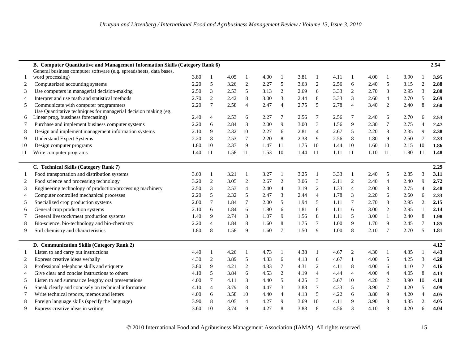|    |                                                                                                                                                           |      |                |      |                |      |                |      |                |      |                |      |                |      |                | 2.54 |
|----|-----------------------------------------------------------------------------------------------------------------------------------------------------------|------|----------------|------|----------------|------|----------------|------|----------------|------|----------------|------|----------------|------|----------------|------|
|    | <b>B. Computer Quantitative and Management Information Skills (Category Rank 6)</b><br>General business computer software (e.g. spreadsheets, data bases, |      |                |      |                |      |                |      |                |      |                |      |                |      |                |      |
|    | word processing)                                                                                                                                          | 3.80 |                | 4.05 |                | 4.00 |                | 3.81 |                | 4.11 |                | 4.00 |                | 3.90 |                | 3.95 |
| 2  | Computerized accounting systems                                                                                                                           | 2.20 | 5              | 3.26 | $\mathbf{2}$   | 2.27 | 5              | 3.63 | $\sqrt{2}$     | 2.56 | 6              | 2.40 | 5              | 3.15 | $\overline{2}$ | 2.88 |
| 3  | Use computers in managerial decision-making                                                                                                               | 2.50 | 3              | 2.53 | 5              | 3.13 | 2              | 2.69 | 6              | 3.33 | $\overline{2}$ | 2.70 | 3              | 2.95 | 3              | 2.80 |
| 4  | Interpret and use math and statistical methods                                                                                                            | 2.70 | $\overline{c}$ | 2.42 | 8              | 3.00 | 3              | 2.44 | 8              | 3.33 | 3              | 2.60 | $\overline{4}$ | 2.70 | 5              | 2.69 |
| 5  | Communicate with computer programmers                                                                                                                     | 2.20 | $\overline{7}$ | 2.58 | $\overline{4}$ | 2.47 | $\overline{4}$ | 2.75 | 5              | 2.78 | $\overline{4}$ | 3.40 | 2              | 2.40 | 8              | 2.60 |
|    | Use Quantitative techniques for managerial decision making (eg.                                                                                           |      |                |      |                |      |                |      |                |      |                |      |                |      |                |      |
| 6  | Linear prog, bussiness forecasting)                                                                                                                       | 2.40 | $\overline{4}$ | 2.53 | 6              | 2.27 | 7              | 2.56 | 7              | 2.56 | 7              | 2.40 | 6              | 2.70 | 6              | 2.53 |
| 7  | Purchase and implement business computer systems                                                                                                          | 2.20 | 6              | 2.84 | 3              | 2.00 | 9              | 3.00 | 3              | 1.56 | 9              | 2.30 | 7              | 2.75 | $\Delta$       | 2.47 |
| 8  | Design and implement management information systems                                                                                                       | 2.10 | 9              | 2.32 | 10             | 2.27 | 6              | 2.81 | 4              | 2.67 | 5              | 2.20 | 8              | 2.35 | 9              | 2.38 |
| 9  | <b>Understand Expert Systems</b>                                                                                                                          | 2.20 | 8              | 2.53 | $\tau$         | 2.20 | 8              | 2.38 | 9              | 2.56 | 8              | 1.80 | 9              | 2.50 | 7              | 2.33 |
| 10 | Design computer programs                                                                                                                                  | 1.80 | 10             | 2.37 | 9              | 1.47 | 11             | 1.75 | 10             | 1.44 | 10             | 1.60 | 10             | 2.15 | 10             | 1.86 |
| 11 | Write computer programs                                                                                                                                   | 1.40 | -11            | 1.58 | -11            | 1.53 | <sup>10</sup>  | 1.44 | -11            | 1.11 | <sup>11</sup>  | 1.10 | 11             | 1.80 | -11            | 1.48 |
|    |                                                                                                                                                           |      |                |      |                |      |                |      |                |      |                |      |                |      |                |      |
|    | C. Technical Skills (Category Rank 7)                                                                                                                     |      |                |      |                |      |                |      |                |      |                |      |                |      |                | 2.29 |
| -1 | Food transportation and distribution systems                                                                                                              | 3.60 | $\mathbf{1}$   | 3.21 | 1              | 3.27 | $\mathbf{1}$   | 3.25 | $\mathbf{1}$   | 3.33 | $\mathbf{1}$   | 2.40 | 5              | 2.85 | 3              | 3.11 |
| 2  | Food science and processing technology                                                                                                                    | 3.20 | $\overline{2}$ | 3.05 | $\sqrt{2}$     | 2.67 | $\overline{c}$ | 3.06 | 3              | 2.11 | $\overline{c}$ | 2.40 | $\overline{4}$ | 2.40 | 9              | 2.72 |
| 3  | Engineering technology of production/processing machinery                                                                                                 | 2.50 | 3              | 2.53 | $\overline{4}$ | 2.40 | $\overline{4}$ | 3.19 | $\overline{2}$ | 1.33 | $\overline{4}$ | 2.00 | 8              | 2.75 | $\overline{A}$ | 2.48 |
| 4  | Computer controlled mechanical processes                                                                                                                  | 2.20 | 5              | 2.32 | 5              | 2.47 | 3              | 2.44 | $\overline{4}$ | 1.78 | 3              | 2.20 | 6              | 2.60 | 6              | 2.33 |
| 5  | Specialized crop production systems                                                                                                                       | 2.00 | $\tau$         | 1.84 | $\overline{7}$ | 2.00 | 5              | 1.94 | 5              | 1.11 | 7              | 2.70 | 3              | 2.95 | 2              | 2.15 |
| 6  | General crop production systems                                                                                                                           | 2.10 | 6              | 1.84 | 6              | 1.80 | 6              | 1.81 | 6              | 1.11 | 6              | 3.00 | 2              | 2.95 |                | 2.14 |
| 7  | General livestock/meat production systems                                                                                                                 | 1.40 | 9              | 2.74 | 3              | 1.07 | 9              | 1.56 | 8              | 1.11 | 5              | 3.00 | $\mathbf{1}$   | 2.40 | 8              | 1.98 |
| 8  | Bio-science, bio-technology and bio-chemistry                                                                                                             | 2.20 | $\overline{4}$ | 1.84 | 8              | 1.60 | 8              | 1.75 | $\tau$         | 1.00 | 9              | 1.70 | 9              | 2.45 | $\overline{7}$ | 1.85 |
| 9  | Soil chemistry and characteristics                                                                                                                        | 1.80 | 8              | 1.58 | 9              | 1.60 | 7              | 1.50 | 9              | 1.00 | 8              | 2.10 | $\overline{7}$ | 2.70 | 5              | 1.81 |
|    |                                                                                                                                                           |      |                |      |                |      |                |      |                |      |                |      |                |      |                |      |
|    | D. Communication Skills (Category Rank 2)                                                                                                                 |      |                |      |                |      |                |      |                |      |                |      |                |      |                | 4.12 |
| -1 | Listen to and carry out instructions                                                                                                                      | 4.40 | 1              | 4.26 | 1              | 4.73 | $\mathbf{1}$   | 4.38 | $\mathbf{1}$   | 4.67 | $\overline{2}$ | 4.30 | $\mathbf{1}$   | 4.35 |                | 4.43 |
| 2  | Express creative ideas verbally                                                                                                                           | 4.30 | $\overline{c}$ | 3.89 | 5              | 4.33 | 6              | 4.13 | 6              | 4.67 | $\mathbf{1}$   | 4.00 | 5              | 4.25 | 3              | 4.20 |
| 3  | Professional telephone skills and etiquette                                                                                                               | 3.80 | 9              | 4.21 | $\overline{c}$ | 4.33 | $\tau$         | 4.31 | 2              | 4.11 | 8              | 4.00 | 6              | 4.10 |                | 4.16 |
| 4  | Give clear and concise instructions to others                                                                                                             | 4.10 | 5              | 3.84 | 6              | 4.53 | 2              | 4.19 | $\overline{4}$ | 4.44 | $\overline{4}$ | 4.00 | 4              | 4.05 | 8              | 4.13 |
| 5  | Listen to and summarize lengthy oral presentations                                                                                                        | 4.00 | 7              | 4.11 | 3              | 4.40 | 5              | 4.25 | 3              | 3.67 | 10             | 4.20 | $\overline{c}$ | 3.90 | 10             | 4.10 |
| 6  | Speak clearly and concisely on technical information                                                                                                      | 4.10 | $\overline{4}$ | 3.79 | $\,8\,$        | 4.47 | 3              | 3.88 | 7              | 4.33 | 5              | 3.90 | 7              | 4.20 | 5              | 4.09 |
| 7  | Write technical reports, memos and letters                                                                                                                | 4.00 | 6              | 3.58 | 10             | 4.40 | $\overline{4}$ | 4.13 | 5              | 4.22 | 6              | 3.80 | 9              | 4.20 | $\overline{4}$ | 4.05 |
| 8  | Foreign language skills (specify the language)                                                                                                            | 3.90 | 8              | 4.05 | $\overline{4}$ | 4.27 | 9              | 3.69 | 10             | 4.11 | 9              | 3.90 | 8              | 4.35 | 2              | 4.05 |
| 9  | Express creative ideas in writing                                                                                                                         | 3.60 | 10             | 3.74 | 9              | 4.27 | 8              | 3.88 | 8              | 4.56 | 3              | 4.10 | 3              | 4.20 | 6              | 4.04 |

2010 International Food and Agribusiness Management Association (IAMA). All rights reserved. 15